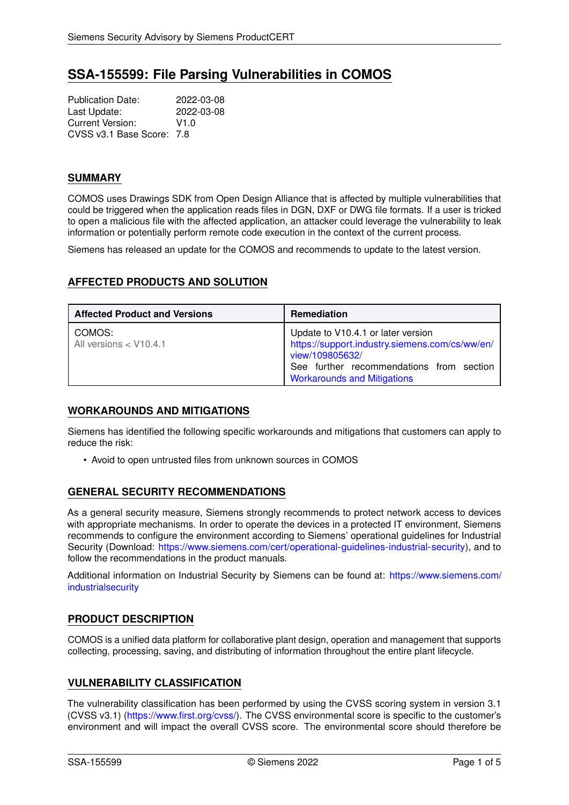# **SSA-155599: File Parsing Vulnerabilities in COMOS**

Publication Date: 2022-03-08<br>
Last Update: 2022-03-08 Last Update: Current Version: V1.0 CVSS v3.1 Base Score: 7.8

# **SUMMARY**

COMOS uses Drawings SDK from Open Design Alliance that is affected by multiple vulnerabilities that could be triggered when the application reads files in DGN, DXF or DWG file formats. If a user is tricked to open a malicious file with the affected application, an attacker could leverage the vulnerability to leak information or potentially perform remote code execution in the context of the current process.

Siemens has released an update for the COMOS and recommends to update to the latest version.

# **AFFECTED PRODUCTS AND SOLUTION**

| <b>Affected Product and Versions</b> | <b>Remediation</b>                                                                                                                                                                        |
|--------------------------------------|-------------------------------------------------------------------------------------------------------------------------------------------------------------------------------------------|
| COMOS:<br>All versions < V10.4.1     | Update to V10.4.1 or later version<br>https://support.industry.siemens.com/cs/ww/en/<br>view/109805632/<br>See further recommendations from section<br><b>Workarounds and Mitigations</b> |

# <span id="page-0-0"></span>**WORKAROUNDS AND MITIGATIONS**

Siemens has identified the following specific workarounds and mitigations that customers can apply to reduce the risk:

• Avoid to open untrusted files from unknown sources in COMOS

# **GENERAL SECURITY RECOMMENDATIONS**

As a general security measure, Siemens strongly recommends to protect network access to devices with appropriate mechanisms. In order to operate the devices in a protected IT environment, Siemens recommends to configure the environment according to Siemens' operational guidelines for Industrial Security (Download: [https://www.siemens.com/cert/operational-guidelines-industrial-security\)](https://www.siemens.com/cert/operational-guidelines-industrial-security), and to follow the recommendations in the product manuals.

Additional information on Industrial Security by Siemens can be found at: [https://www.siemens.com/](https://www.siemens.com/industrialsecurity) [industrialsecurity](https://www.siemens.com/industrialsecurity)

# **PRODUCT DESCRIPTION**

COMOS is a unified data platform for collaborative plant design, operation and management that supports collecting, processing, saving, and distributing of information throughout the entire plant lifecycle.

# **VULNERABILITY CLASSIFICATION**

The vulnerability classification has been performed by using the CVSS scoring system in version 3.1 (CVSS v3.1) [\(https://www.first.org/cvss/\)](https://www.first.org/cvss/). The CVSS environmental score is specific to the customer's environment and will impact the overall CVSS score. The environmental score should therefore be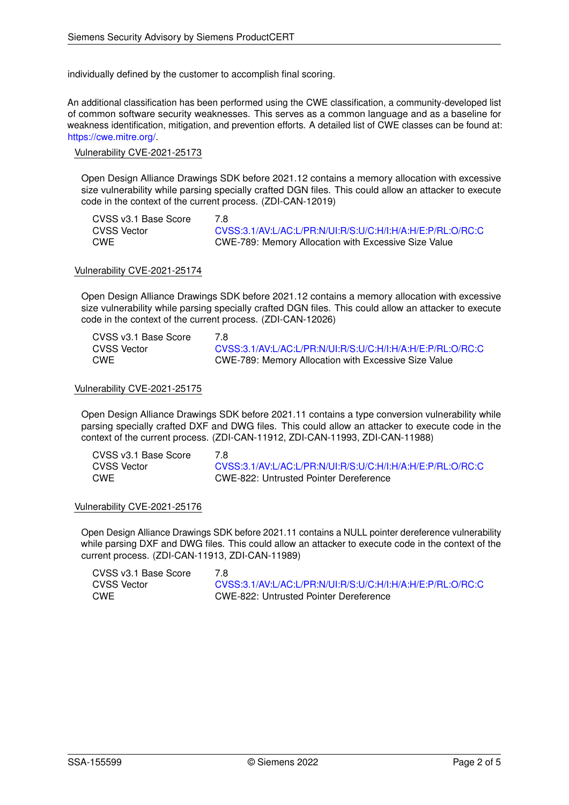individually defined by the customer to accomplish final scoring.

An additional classification has been performed using the CWE classification, a community-developed list of common software security weaknesses. This serves as a common language and as a baseline for weakness identification, mitigation, and prevention efforts. A detailed list of CWE classes can be found at: [https://cwe.mitre.org/.](https://cwe.mitre.org/)

### Vulnerability CVE-2021-25173

Open Design Alliance Drawings SDK before 2021.12 contains a memory allocation with excessive size vulnerability while parsing specially crafted DGN files. This could allow an attacker to execute code in the context of the current process. (ZDI-CAN-12019)

CVSS v3.1 Base Score 7.8

CVSS Vector [CVSS:3.1/AV:L/AC:L/PR:N/UI:R/S:U/C:H/I:H/A:H/E:P/RL:O/RC:C](https://www.first.org/cvss/calculator/3.1#CVSS:3.1/AV:L/AC:L/PR:N/UI:R/S:U/C:H/I:H/A:H/E:P/RL:O/RC:C) CWE CWE-789: Memory Allocation with Excessive Size Value

#### Vulnerability CVE-2021-25174

Open Design Alliance Drawings SDK before 2021.12 contains a memory allocation with excessive size vulnerability while parsing specially crafted DGN files. This could allow an attacker to execute code in the context of the current process. (ZDI-CAN-12026)

| CVSS v3.1 Base Score | 7 8                                                        |
|----------------------|------------------------------------------------------------|
| CVSS Vector          | CVSS:3.1/AV:L/AC:L/PR:N/UI:R/S:U/C:H/I:H/A:H/E:P/RL:O/RC:C |
| <b>CWE</b>           | CWE-789: Memory Allocation with Excessive Size Value       |

#### Vulnerability CVE-2021-25175

Open Design Alliance Drawings SDK before 2021.11 contains a type conversion vulnerability while parsing specially crafted DXF and DWG files. This could allow an attacker to execute code in the context of the current process. (ZDI-CAN-11912, ZDI-CAN-11993, ZDI-CAN-11988)

| CVSS v3.1 Base Score | 7.8                                                        |
|----------------------|------------------------------------------------------------|
| CVSS Vector          | CVSS:3.1/AV:L/AC:L/PR:N/UI:R/S:U/C:H/I:H/A:H/E:P/RL:O/RC:C |
| CWE                  | CWE-822: Untrusted Pointer Dereference                     |

#### Vulnerability CVE-2021-25176

Open Design Alliance Drawings SDK before 2021.11 contains a NULL pointer dereference vulnerability while parsing DXF and DWG files. This could allow an attacker to execute code in the context of the current process. (ZDI-CAN-11913, ZDI-CAN-11989)

| CVSS v3.1 Base Score | 7.8 |
|----------------------|-----|
| <b>CVSS Vector</b>   | CV  |
| <b>CWE</b>           | C٧  |

CVSS Vector [CVSS:3.1/AV:L/AC:L/PR:N/UI:R/S:U/C:H/I:H/A:H/E:P/RL:O/RC:C](https://www.first.org/cvss/calculator/3.1#CVSS:3.1/AV:L/AC:L/PR:N/UI:R/S:U/C:H/I:H/A:H/E:P/RL:O/RC:C) WE-822: Untrusted Pointer Dereference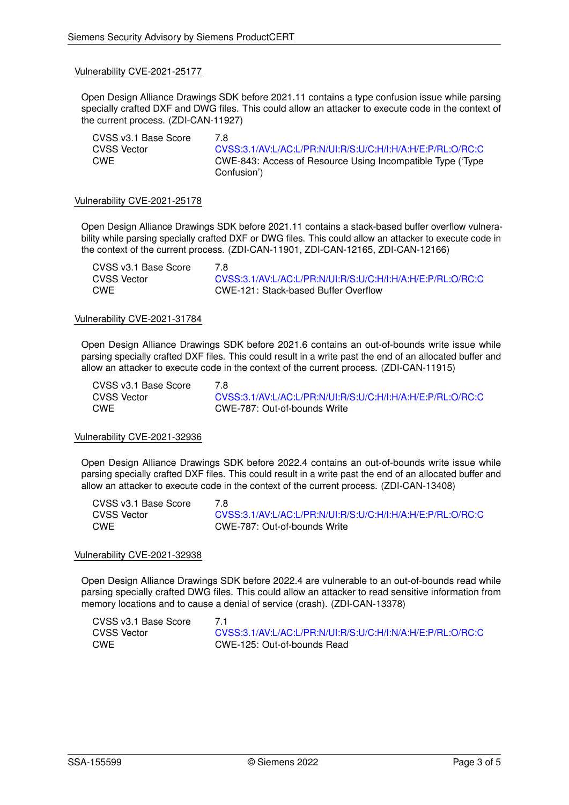#### Vulnerability CVE-2021-25177

Open Design Alliance Drawings SDK before 2021.11 contains a type confusion issue while parsing specially crafted DXF and DWG files. This could allow an attacker to execute code in the context of the current process. (ZDI-CAN-11927)

CVSS v3.1 Base Score 7.8 CVSS Vector [CVSS:3.1/AV:L/AC:L/PR:N/UI:R/S:U/C:H/I:H/A:H/E:P/RL:O/RC:C](https://www.first.org/cvss/calculator/3.1#CVSS:3.1/AV:L/AC:L/PR:N/UI:R/S:U/C:H/I:H/A:H/E:P/RL:O/RC:C) CWE CWE-843: Access of Resource Using Incompatible Type ('Type Confusion')

#### Vulnerability CVE-2021-25178

Open Design Alliance Drawings SDK before 2021.11 contains a stack-based buffer overflow vulnerability while parsing specially crafted DXF or DWG files. This could allow an attacker to execute code in the context of the current process. (ZDI-CAN-11901, ZDI-CAN-12165, ZDI-CAN-12166)

| CVSS v3.1 Base Score | 7 R                                                        |
|----------------------|------------------------------------------------------------|
| CVSS Vector          | CVSS:3.1/AV:L/AC:L/PR:N/UI:R/S:U/C:H/I:H/A:H/E:P/RL:O/RC:C |
| CWE                  | CWE-121: Stack-based Buffer Overflow                       |

#### Vulnerability CVE-2021-31784

Open Design Alliance Drawings SDK before 2021.6 contains an out-of-bounds write issue while parsing specially crafted DXF files. This could result in a write past the end of an allocated buffer and allow an attacker to execute code in the context of the current process. (ZDI-CAN-11915)

CVSS v3.1 Base Score 7.8

CVSS Vector [CVSS:3.1/AV:L/AC:L/PR:N/UI:R/S:U/C:H/I:H/A:H/E:P/RL:O/RC:C](https://www.first.org/cvss/calculator/3.1#CVSS:3.1/AV:L/AC:L/PR:N/UI:R/S:U/C:H/I:H/A:H/E:P/RL:O/RC:C) CWE CWE-787: Out-of-bounds Write

#### Vulnerability CVE-2021-32936

Open Design Alliance Drawings SDK before 2022.4 contains an out-of-bounds write issue while parsing specially crafted DXF files. This could result in a write past the end of an allocated buffer and allow an attacker to execute code in the context of the current process. (ZDI-CAN-13408)

CVSS v3.1 Base Score 7.8

CVSS Vector [CVSS:3.1/AV:L/AC:L/PR:N/UI:R/S:U/C:H/I:H/A:H/E:P/RL:O/RC:C](https://www.first.org/cvss/calculator/3.1#CVSS:3.1/AV:L/AC:L/PR:N/UI:R/S:U/C:H/I:H/A:H/E:P/RL:O/RC:C) CWE CWE-787: Out-of-bounds Write

#### Vulnerability CVE-2021-32938

Open Design Alliance Drawings SDK before 2022.4 are vulnerable to an out-of-bounds read while parsing specially crafted DWG files. This could allow an attacker to read sensitive information from memory locations and to cause a denial of service (crash). (ZDI-CAN-13378)

| CVSS v3.1 Base Score |                                                            |
|----------------------|------------------------------------------------------------|
| CVSS Vector          | CVSS:3.1/AV:L/AC:L/PR:N/UI:R/S:U/C:H/I:N/A:H/E:P/RL:O/RC:C |
| CWE                  | CWE-125: Out-of-bounds Read                                |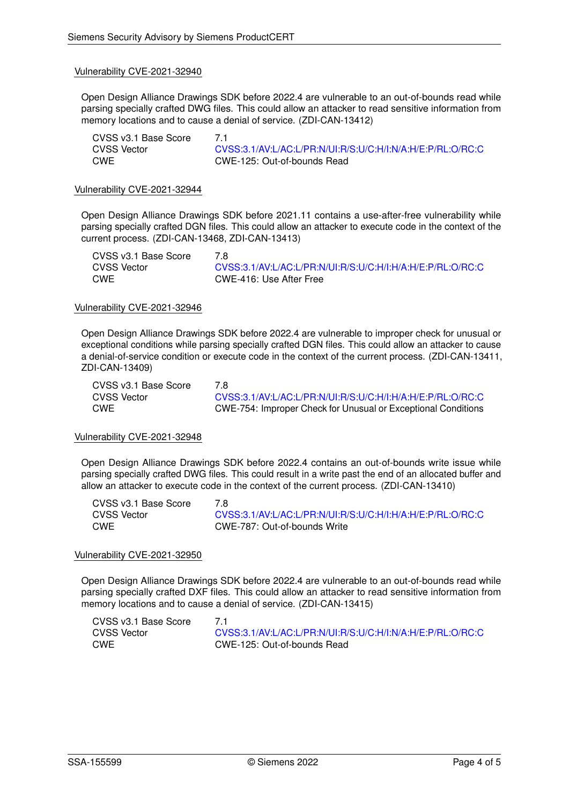#### Vulnerability CVE-2021-32940

Open Design Alliance Drawings SDK before 2022.4 are vulnerable to an out-of-bounds read while parsing specially crafted DWG files. This could allow an attacker to read sensitive information from memory locations and to cause a denial of service. (ZDI-CAN-13412)

| CVSS v3.1 Base Score | 71                                                         |
|----------------------|------------------------------------------------------------|
| CVSS Vector          | CVSS:3.1/AV:L/AC:L/PR:N/UI:R/S:U/C:H/I:N/A:H/E:P/RL:O/RC:C |
| CWE                  | CWE-125: Out-of-bounds Read                                |

#### Vulnerability CVE-2021-32944

Open Design Alliance Drawings SDK before 2021.11 contains a use-after-free vulnerability while parsing specially crafted DGN files. This could allow an attacker to execute code in the context of the current process. (ZDI-CAN-13468, ZDI-CAN-13413)

| CVSS v3.1 Base Score | 7 8                                                        |
|----------------------|------------------------------------------------------------|
| CVSS Vector          | CVSS:3.1/AV:L/AC:L/PR:N/UI:R/S:U/C:H/I:H/A:H/E:P/RL:O/RC:C |
| CWE                  | CWE-416: Use After Free                                    |

#### Vulnerability CVE-2021-32946

Open Design Alliance Drawings SDK before 2022.4 are vulnerable to improper check for unusual or exceptional conditions while parsing specially crafted DGN files. This could allow an attacker to cause a denial-of-service condition or execute code in the context of the current process. (ZDI-CAN-13411, ZDI-CAN-13409)

CVSS v3.1 Base Score 7.8

CVSS Vector [CVSS:3.1/AV:L/AC:L/PR:N/UI:R/S:U/C:H/I:H/A:H/E:P/RL:O/RC:C](https://www.first.org/cvss/calculator/3.1#CVSS:3.1/AV:L/AC:L/PR:N/UI:R/S:U/C:H/I:H/A:H/E:P/RL:O/RC:C) CWE CWE-754: Improper Check for Unusual or Exceptional Conditions

#### Vulnerability CVE-2021-32948

Open Design Alliance Drawings SDK before 2022.4 contains an out-of-bounds write issue while parsing specially crafted DWG files. This could result in a write past the end of an allocated buffer and allow an attacker to execute code in the context of the current process. (ZDI-CAN-13410)

CVSS v3.1 Base Score 7.8<br>CVSS Vector 60

CVSS Vector [CVSS:3.1/AV:L/AC:L/PR:N/UI:R/S:U/C:H/I:H/A:H/E:P/RL:O/RC:C](https://www.first.org/cvss/calculator/3.1#CVSS:3.1/AV:L/AC:L/PR:N/UI:R/S:U/C:H/I:H/A:H/E:P/RL:O/RC:C) CWE CWE-787: Out-of-bounds Write

#### Vulnerability CVE-2021-32950

Open Design Alliance Drawings SDK before 2022.4 are vulnerable to an out-of-bounds read while parsing specially crafted DXF files. This could allow an attacker to read sensitive information from memory locations and to cause a denial of service. (ZDI-CAN-13415)

| CVSS v3.1 Base Score | 71                                                         |
|----------------------|------------------------------------------------------------|
| CVSS Vector          | CVSS:3.1/AV:L/AC:L/PR:N/UI:R/S:U/C:H/I:N/A:H/E:P/RL:O/RC:C |
| CWE                  | CWE-125: Out-of-bounds Read                                |